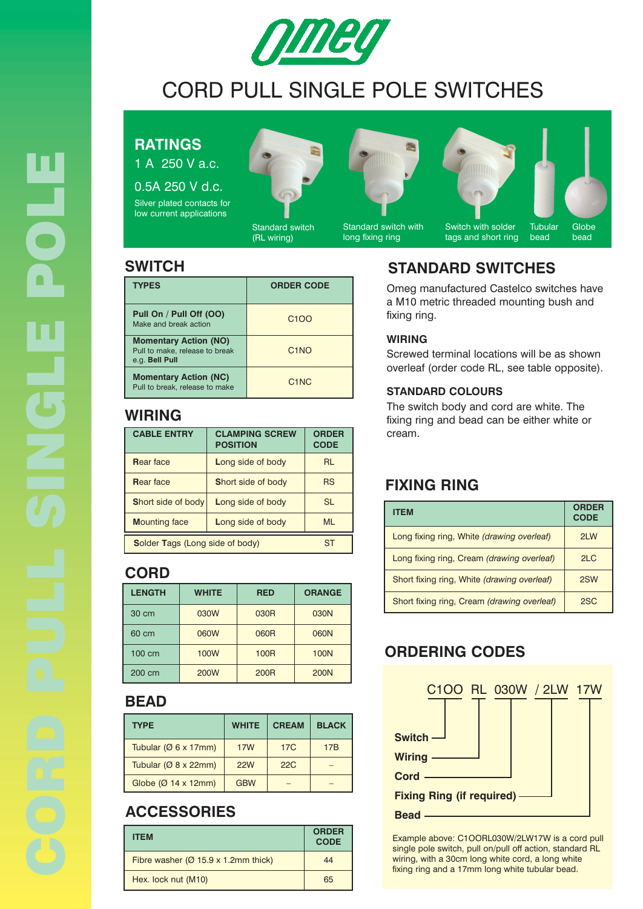

# CORD PULL SINGLE POLE SWITCHES

### **RATINGS**

1 A 250 V a.c.

0.5A 250 V d.c. Silver plated contacts for low current applications



Standard switch (RL wiring)

Standard switch with

long fixing ring



**Tubular Globe** bead

| <b>TYPES</b>                                                                     | <b>ORDER CODE</b>             |
|----------------------------------------------------------------------------------|-------------------------------|
| Pull On / Pull Off (OO)<br>Make and break action                                 | C <sub>1</sub> O <sub>O</sub> |
| <b>Momentary Action (NO)</b><br>Pull to make, release to break<br>e.g. Bell Pull | C <sub>1</sub> NO             |
| <b>Momentary Action (NC)</b><br>Pull to break, release to make                   | C <sub>1</sub> N <sub>C</sub> |

### **WIRING**

| <b>CABLE ENTRY</b>                     | <b>CLAMPING SCREW</b><br><b>POSITION</b> | <b>ORDER</b><br><b>CODE</b> |
|----------------------------------------|------------------------------------------|-----------------------------|
| <b>Rear face</b>                       | Long side of body                        | <b>RL</b>                   |
| <b>Rear face</b>                       | Short side of body                       | <b>RS</b>                   |
| Short side of body                     | Long side of body                        | <b>SL</b>                   |
| <b>Mounting face</b>                   | Long side of body                        | MI                          |
| <b>Solder Tags (Long side of body)</b> |                                          |                             |

#### **CORD**

| <b>LENGTH</b> | <b>WHITE</b> | <b>RED</b>  | <b>ORANGE</b> |
|---------------|--------------|-------------|---------------|
| 30 cm         | 030W         | 030R        | 030N          |
| 60 cm         | 060W         | 060R        | 060N          |
| 100 cm        | 100W         | <b>100R</b> | <b>100N</b>   |
| 200 cm        | <b>200W</b>  | <b>200R</b> | <b>200N</b>   |

#### **BEAD**

| <b>TYPE</b>                       | <b>WHITE</b> | <b>CREAM</b> | <b>BLACK</b>    |
|-----------------------------------|--------------|--------------|-----------------|
| Tubular ( $\varnothing$ 6 x 17mm) | <b>17W</b>   | <b>17C</b>   | 17 <sub>B</sub> |
| Tubular ( $\varnothing$ 8 x 22mm) | <b>22W</b>   | 22C          |                 |
| Globe $(Ø 14 x 12mm)$             | <b>GBW</b>   |              |                 |

## **ACCESSORIES**

| <b>ITEM</b>                            | <b>ORDER</b><br><b>CODE</b> |
|----------------------------------------|-----------------------------|
| Fibre washer $(Ø 15.9 x 1.2 mm$ thick) | 44                          |
| Hex. lock nut (M10)                    | 65                          |

### **SWITCH STANDARD SWITCHES**

Omeg manufactured Castelco switches have a M10 metric threaded mounting bush and fixing ring.

#### **WIRING**

Screwed terminal locations will be as shown overleaf (order code RL, see table opposite).

#### **STANDARD COLOURS**

The switch body and cord are white. The fixing ring and bead can be either white or cream.

### **FIXING RING**

| <b>ITEM</b>                                 | <b>ORDER</b><br><b>CODE</b> |
|---------------------------------------------|-----------------------------|
| Long fixing ring, White (drawing overleaf)  | 2LW                         |
| Long fixing ring, Cream (drawing overleaf)  | 2 <sub>LC</sub>             |
| Short fixing ring, White (drawing overleaf) | 2SW                         |
| Short fixing ring, Cream (drawing overleaf) | 2SC                         |

## **ORDERING CODES**



Example above: C1OORL030W/2LW17W is a cord pull single pole switch, pull on/pull off action, standard RL wiring, with a 30cm long white cord, a long white fixing ring and a 17mm long white tubular bead.